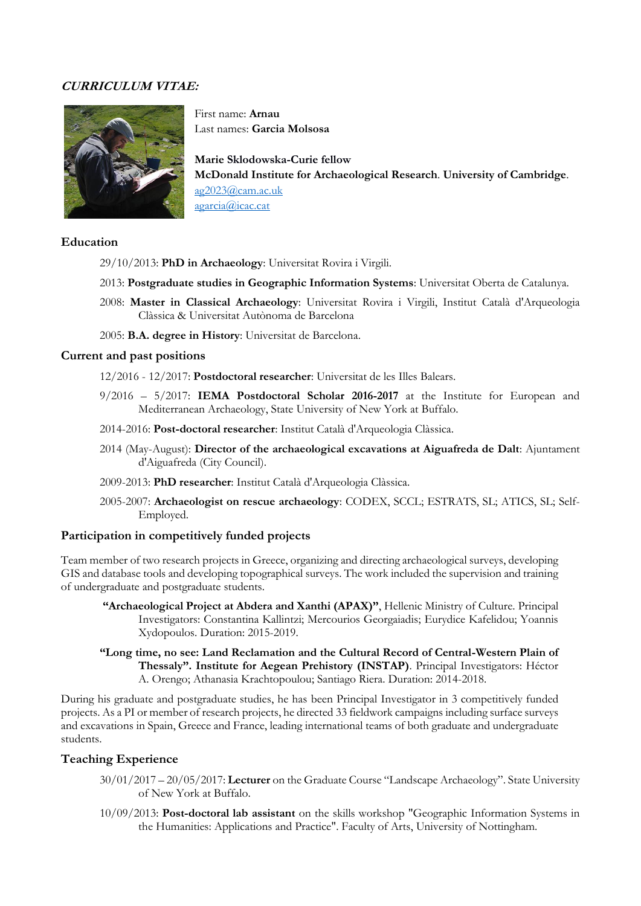# **CURRICULUM VITAE:**



First name: **Arnau** Last names: **Garcia Molsosa**

**Marie Sklodowska-Curie fellow McDonald Institute for Archaeological Research**. **University of Cambridge**. [ag2023@cam.ac.uk](mailto:ag2023@cam.ac.uk) agarcia@icac.cat

### **Education**

- 29/10/2013: **PhD in Archaeology**: Universitat Rovira i Virgili.
- 2013: **Postgraduate studies in Geographic Information Systems**: Universitat Oberta de Catalunya.
- 2008: **Master in Classical Archaeology**: Universitat Rovira i Virgili, Institut Català d'Arqueologia Clàssica & Universitat Autònoma de Barcelona
- 2005: **B.A. degree in History**: Universitat de Barcelona.

#### **Current and past positions**

12/2016 - 12/2017: **Postdoctoral researcher**: Universitat de les Illes Balears.

- 9/2016 5/2017: **IEMA Postdoctoral Scholar 2016-2017** at the Institute for European and Mediterranean Archaeology, State University of New York at Buffalo.
- 2014-2016: **Post-doctoral researcher**: Institut Català d'Arqueologia Clàssica.
- 2014 (May-August): **Director of the archaeological excavations at Aiguafreda de Dalt**: Ajuntament d'Aiguafreda (City Council).
- 2009-2013: **PhD researcher**: Institut Català d'Arqueologia Clàssica.
- 2005-2007: **Archaeologist on rescue archaeology**: CODEX, SCCL; ESTRATS, SL; ATICS, SL; Self-Employed.

### **Participation in competitively funded projects**

Team member of two research projects in Greece, organizing and directing archaeological surveys, developing GIS and database tools and developing topographical surveys. The work included the supervision and training of undergraduate and postgraduate students*.*

- **"Archaeological Project at Abdera and Xanthi (APAX)"**, Hellenic Ministry of Culture. Principal Investigators: Constantina Kallintzi; Mercourios Georgaiadis; Eurydice Kafelidou; Yoannis Xydopoulos. Duration: 2015-2019.
- **"Long time, no see: Land Reclamation and the Cultural Record of Central-Western Plain of Thessaly". Institute for Aegean Prehistory (INSTAP)**. Principal Investigators: Héctor A. Orengo; Athanasia Krachtopoulou; Santiago Riera. Duration: 2014-2018.

During his graduate and postgraduate studies, he has been Principal Investigator in 3 competitively funded projects. As a PI or member of research projects, he directed 33 fieldwork campaigns including surface surveys and excavations in Spain, Greece and France, leading international teams of both graduate and undergraduate students.

## **Teaching Experience**

- 30/01/2017 20/05/2017: **Lecturer** on the Graduate Course "Landscape Archaeology". State University of New York at Buffalo.
- 10/09/2013: **Post-doctoral lab assistant** on the skills workshop "Geographic Information Systems in the Humanities: Applications and Practice". Faculty of Arts, University of Nottingham.